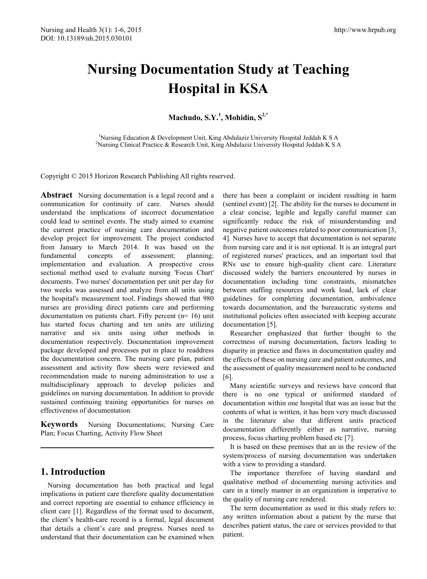# **Nursing Documentation Study at Teaching Hospital in KSA**

**Machudo, S.Y.<sup>1</sup> , Mohidin, S2,\***

<sup>1</sup>Nursing Education & Development Unit, King Abdulaziz University Hospital Jeddah K S A<sup>2</sup>Nursing Clinical Practice & Pesearch Unit, King Abdulaziz University Hospital Jeddah K S <sup>2</sup>Nursing Clinical Practice & Research Unit, King Abdulaziz University Hospital Jeddah K S A

Copyright © 2015 Horizon Research Publishing All rights reserved.

**Abstract** Nursing documentation is a legal record and a communication for continuity of care. Nurses should understand the implications of incorrect documentation could lead to sentinel events. The study aimed to examine the current practice of nursing care documentation and develop project for improvement. The project conducted from January to March 2014. It was based on the fundamental concepts of assessment; planning; implementation and evaluation. A prospective cross sectional method used to evaluate nursing 'Focus Chart' documents. Two nurses' documentation per unit per day for two weeks was assessed and analyze from all units using the hospital's measurement tool. Findings showed that 980 nurses are providing direct patients care and performing documentation on patients chart. Fifty percent (n= 16) unit has started focus charting and ten units are utilizing narrative and six units using other methods in documentation respectively. Documentation improvement package developed and processes put in place to readdress the documentation concern. The nursing care plan, patient assessment and activity flow sheets were reviewed and recommendation made to nursing administration to use a multidisciplinary approach to develop policies and guidelines on nursing documentation. In addition to provide sustained continuing training opportunities for nurses on effectiveness of documentation.

**Keywords** Nursing Documentations; Nursing Care Plan; Focus Charting, Activity Flow Sheet

# **1. Introduction**

Nursing documentation has both practical and legal implications in patient care therefore quality documentation and correct reporting are essential to enhance efficiency in client care [1]. Regardless of the format used to document, the client's health-care record is a formal, legal document that details a client's care and progress. Nurses need to understand that their documentation can be examined when

there has been a complaint or incident resulting in harm (sentinel event) [2[. The ability for the nurses to document in a clear concise, legible and legally careful manner can significantly reduce the risk of misunderstanding and negative patient outcomes related to poor communication [3, 4]. Nurses have to accept that documentation is not separate from nursing care and it is not optional. It is an integral part of registered nurses' practices, and an important tool that RNs use to ensure high-quality client care. Literature discussed widely the barriers encountered by nurses in documentation including time constraints, mismatches between staffing resources and work load, lack of clear guidelines for completing documentation, ambivalence towards documentation, and the bureaucratic systems and institutional policies often associated with keeping accurate documentation [5].

Researcher emphasized that further thought to the correctness of nursing documentation, factors leading to disparity in practice and flaws in documentation quality and the effects of these on nursing care and patient outcomes, and the assessment of quality measurement need to be conducted [6].

Many scientific surveys and reviews have concord that there is no one typical or uniformed standard of documentation within one hospital that was an issue but the contents of what is written, it has been very much discussed in the literature also that different units practiced documentation differently either as narrative, nursing process, focus charting problem based etc [7].

It is based on these premises that an in the review of the system/process of nursing documentation was undertaken with a view to providing a standard.

The importance therefore of having standard and qualitative method of documenting nursing activities and care in a timely manner in an organization is imperative to the quality of nursing care rendered.

The term documentation as used in this study refers to: any written information about a patient by the nurse that describes patient status, the care or services provided to that patient.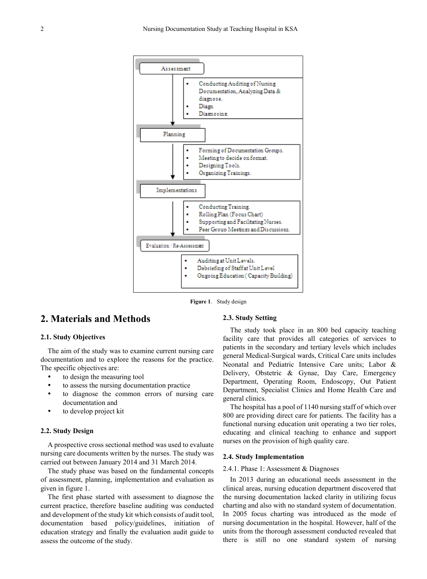

**Figure 1**. Study design

# **2. Materials and Methods**

#### **2.1. Study Objectives**

The aim of the study was to examine current nursing care documentation and to explore the reasons for the practice. The specific objectives are:

- to design the measuring tool
- to assess the nursing documentation practice
- to diagnose the common errors of nursing care documentation and
- to develop project kit

#### **2.2. Study Design**

A prospective cross sectional method was used to evaluate nursing care documents written by the nurses. The study was carried out between January 2014 and 31 March 2014.

The study phase was based on the fundamental concepts of assessment, planning, implementation and evaluation as given in figure 1.

The first phase started with assessment to diagnose the current practice, therefore baseline auditing was conducted and development of the study kit which consists of audit tool, documentation based policy/guidelines, initiation of education strategy and finally the evaluation audit guide to assess the outcome of the study.

### **2.3. Study Setting**

The study took place in an 800 bed capacity teaching facility care that provides all categories of services to patients in the secondary and tertiary levels which includes general Medical-Surgical wards, Critical Care units includes Neonatal and Pediatric Intensive Care units; Labor & Delivery, Obstetric & Gynae, Day Care, Emergency Department, Operating Room, Endoscopy, Out Patient Department, Specialist Clinics and Home Health Care and general clinics.

The hospital has a pool of 1140 nursing staff of which over 800 are providing direct care for patients. The facility has a functional nursing education unit operating a two tier roles, educating and clinical teaching to enhance and support nurses on the provision of high quality care.

#### **2.4. Study Implementation**

#### 2.4.1. Phase 1: Assessment & Diagnoses

In 2013 during an educational needs assessment in the clinical areas, nursing education department discovered that the nursing documentation lacked clarity in utilizing focus charting and also with no standard system of documentation. In 2005 focus charting was introduced as the mode of nursing documentation in the hospital. However, half of the units from the thorough assessment conducted revealed that there is still no one standard system of nursing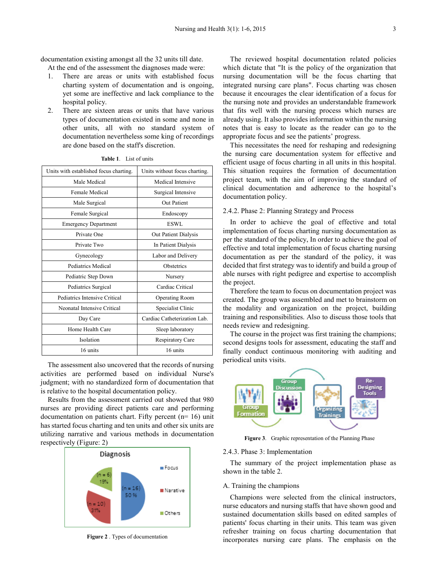documentation existing amongst all the 32 units till date.

At the end of the assessment the diagnoses made were:

- 1. There are areas or units with established focus charting system of documentation and is ongoing, yet some are ineffective and lack compliance to the hospital policy.
- 2. There are sixteen areas or units that have various types of documentation existed in some and none in other units, all with no standard system of documentation nevertheless some king of recordings are done based on the staff's discretion.

| Units with established focus charting. | Units without focus charting. |  |
|----------------------------------------|-------------------------------|--|
| Male Medical                           | Medical Intensive             |  |
| Female Medical                         | Surgical Intensive            |  |
| Male Surgical                          | <b>Out Patient</b>            |  |
| Female Surgical                        | Endoscopy                     |  |
| <b>Emergency Department</b>            | ESWL                          |  |
| Private One                            | Out Patient Dialysis          |  |
| Private Two                            | In Patient Dialysis           |  |
| Gynecology                             | Labor and Delivery            |  |
| Pediatrics Medical                     | <b>Obstetrics</b>             |  |
| Pediatric Step Down                    | Nursery                       |  |
| Pediatrics Surgical                    | Cardiac Critical              |  |
| Pediatrics Intensive Critical          | <b>Operating Room</b>         |  |
| Neonatal Intensive Critical            | Specialist Clinic             |  |
| Day Care                               | Cardiac Catheterization Lab.  |  |
| Home Health Care                       | Sleep laboratory              |  |
| Isolation                              | Respiratory Care              |  |
| 16 units                               | 16 units                      |  |

| Table 1. | List of units |
|----------|---------------|
|----------|---------------|

The assessment also uncovered that the records of nursing activities are performed based on individual Nurse's judgment; with no standardized form of documentation that is relative to the hospital documentation policy.

Results from the assessment carried out showed that 980 nurses are providing direct patients care and performing documentation on patients chart. Fifty percent (n= 16) unit has started focus charting and ten units and other six units are utilizing narrative and various methods in documentation respectively (Figure: 2)



**Figure 2** . Types of documentation

The reviewed hospital documentation related policies which dictate that "It is the policy of the organization that nursing documentation will be the focus charting that integrated nursing care plans". Focus charting was chosen because it encourages the clear identification of a focus for the nursing note and provides an understandable framework that fits well with the nursing process which nurses are already using. It also provides information within the nursing notes that is easy to locate as the reader can go to the appropriate focus and see the patients' progress.

This necessitates the need for reshaping and redesigning the nursing care documentation system for effective and efficient usage of focus charting in all units in this hospital. This situation requires the formation of documentation project team, with the aim of improving the standard of clinical documentation and adherence to the hospital's documentation policy.

#### 2.4.2. Phase 2: Planning Strategy and Process

In order to achieve the goal of effective and total implementation of focus charting nursing documentation as per the standard of the policy, In order to achieve the goal of effective and total implementation of focus charting nursing documentation as per the standard of the policy, it was decided that first strategy was to identify and build a group of able nurses with right pedigree and expertise to accomplish the project.

Therefore the team to focus on documentation project was created. The group was assembled and met to brainstorm on the modality and organization on the project, building training and responsibilities. Also to discuss those tools that needs review and redesigning.

The course in the project was first training the champions; second designs tools for assessment, educating the staff and finally conduct continuous monitoring with auditing and periodical units visits.



**Figure 3**. Graphic representation of the Planning Phase

#### 2.4.3. Phase 3: Implementation

The summary of the project implementation phase as shown in the table 2.

#### A. Training the champions

Champions were selected from the clinical instructors, nurse educators and nursing staffs that have shown good and sustained documentation skills based on edited samples of patients' focus charting in their units. This team was given refresher training on focus charting documentation that incorporates nursing care plans. The emphasis on the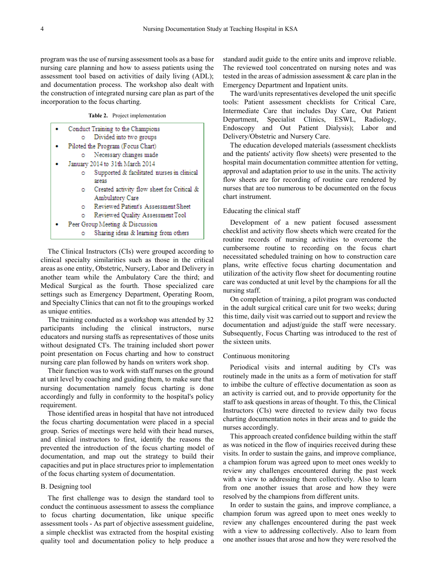program was the use of nursing assessment tools as a base for nursing care planning and how to assess patients using the assessment tool based on activities of daily living (ADL); and documentation process. The workshop also dealt with the construction of integrated nursing care plan as part of the incorporation to the focus charting.

**Table 2.** Project implementation

|    | Conduct Training to the Champions          |
|----|--------------------------------------------|
| ٥  | Divided into two groups                    |
|    | Piloted the Program (Focus Chart)          |
| ۰  | Necessary changes made                     |
|    | January 2014 to 31th March 2014            |
|    | Supported & facilitated nurses in clinical |
|    | areas                                      |
| ٥  | Created activity flow sheet for Critical & |
|    | Ambulatory Care                            |
| o. | Reviewed Patient's Assessment Sheet        |
| ō  | Reviewed Quality Assessment Tool           |
|    | Peer Group Meeting & Discussion            |
|    | Sharing ideas & learning from others       |

The Clinical Instructors (CIs) were grouped according to clinical specialty similarities such as those in the critical areas as one entity, Obstetric, Nursery, Labor and Delivery in another team while the Ambulatory Care the third; and Medical Surgical as the fourth. Those specialized care settings such as Emergency Department, Operating Room, and Specialty Clinics that can not fit to the groupings worked as unique entities.

The training conducted as a workshop was attended by 32 participants including the clinical instructors, nurse educators and nursing staffs as representatives of those units without designated CI's. The training included short power point presentation on Focus charting and how to construct nursing care plan followed by hands on writers work shop.

Their function was to work with staff nurses on the ground at unit level by coaching and guiding them, to make sure that nursing documentation namely focus charting is done accordingly and fully in conformity to the hospital's policy requirement.

Those identified areas in hospital that have not introduced the focus charting documentation were placed in a special group. Series of meetings were held with their head nurses, and clinical instructors to first, identify the reasons the prevented the introduction of the focus charting model of documentation, and map out the strategy to build their capacities and put in place structures prior to implementation of the focus charting system of documentation.

#### B. Designing tool

The first challenge was to design the standard tool to conduct the continuous assessment to assess the compliance to focus charting documentation, like unique specific assessment tools - As part of objective assessment guideline, a simple checklist was extracted from the hospital existing quality tool and documentation policy to help produce a

standard audit guide to the entire units and improve reliable. The reviewed tool concentrated on nursing notes and was tested in the areas of admission assessment & care plan in the Emergency Department and Inpatient units.

The ward/units representatives developed the unit specific tools: Patient assessment checklists for Critical Care, Intermediate Care that includes Day Care, Out Patient Department, Specialist Clinics, ESWL, Radiology, Endoscopy and Out Patient Dialysis); Labor and Delivery/Obstetric and Nursery Care.

The education developed materials (assessment checklists and the patients' activity flow sheets) were presented to the hospital main documentation committee attention for vetting, approval and adaptation prior to use in the units. The activity flow sheets are for recording of routine care rendered by nurses that are too numerous to be documented on the focus chart instrument.

#### Educating the clinical staff

Development of a new patient focused assessment checklist and activity flow sheets which were created for the routine records of nursing activities to overcome the cumbersome routine to recording on the focus chart necessitated scheduled training on how to construction care plans, write effective focus charting documentation and utilization of the activity flow sheet for documenting routine care was conducted at unit level by the champions for all the nursing staff.

On completion of training, a pilot program was conducted in the adult surgical critical care unit for two weeks; during this time, daily visit was carried out to support and review the documentation and adjust/guide the staff were necessary. Subsequently, Focus Charting was introduced to the rest of the sixteen units.

#### Continuous monitoring

Periodical visits and internal auditing by CI's was routinely made in the units as a form of motivation for staff to imbibe the culture of effective documentation as soon as an activity is carried out, and to provide opportunity for the staff to ask questions in areas of thought. To this, the Clinical Instructors (CIs) were directed to review daily two focus charting documentation notes in their areas and to guide the nurses accordingly.

This approach created confidence building within the staff as was noticed in the flow of inquiries received during these visits. In order to sustain the gains, and improve compliance, a champion forum was agreed upon to meet ones weekly to review any challenges encountered during the past week with a view to addressing them collectively. Also to learn from one another issues that arose and how they were resolved by the champions from different units.

In order to sustain the gains, and improve compliance, a champion forum was agreed upon to meet ones weekly to review any challenges encountered during the past week with a view to addressing collectively. Also to learn from one another issues that arose and how they were resolved the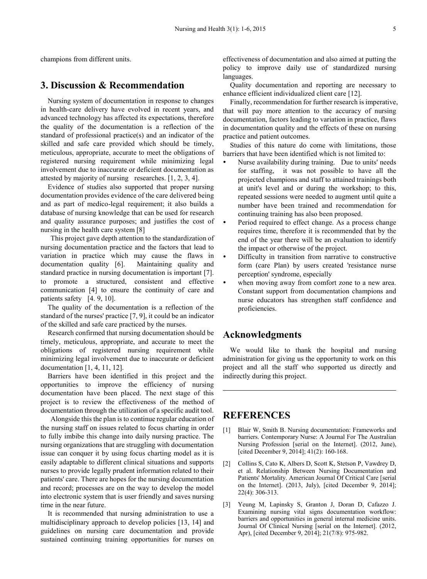champions from different units.

# **3. Discussion & Recommendation**

Nursing system of documentation in response to changes in health-care delivery have evolved in recent years, and advanced technology has affected its expectations, therefore the quality of the documentation is a reflection of the standard of professional practice(s) and an indicator of the skilled and safe care provided which should be timely, meticulous, appropriate, accurate to meet the obligations of registered nursing requirement while minimizing legal involvement due to inaccurate or deficient documentation as attested by majority of nursing researches. [1, 2, 3, 4].

Evidence of studies also supported that proper nursing documentation provides evidence of the care delivered being and as part of medico-legal requirement; it also builds a database of nursing knowledge that can be used for research and quality assurance purposes; and justifies the cost of nursing in the health care system [8]

This project gave depth attention to the standardization of nursing documentation practice and the factors that lead to variation in practice which may cause the flaws in documentation quality [6]. Maintaining quality and standard practice in nursing documentation is important [7]. to promote a structured, consistent and effective communication [4] to ensure the continuity of care and patients safety [4. 9, 10].

The quality of the documentation is a reflection of the standard of the nurses' practice [7, 9], it could be an indicator of the skilled and safe care practiced by the nurses.

Research confirmed that nursing documentation should be timely, meticulous, appropriate, and accurate to meet the obligations of registered nursing requirement while minimizing legal involvement due to inaccurate or deficient documentation [1, 4, 11, 12].

Barriers have been identified in this project and the opportunities to improve the efficiency of nursing documentation have been placed. The next stage of this project is to review the effectiveness of the method of documentation through the utilization of a specific audit tool.

Alongside this the plan is to continue regular education of the nursing staff on issues related to focus charting in order to fully imbibe this change into daily nursing practice. The nursing organizations that are struggling with documentation issue can conquer it by using focus charting model as it is easily adaptable to different clinical situations and supports nurses to provide legally prudent information related to their patients' care. There are hopes for the nursing documentation and record; processes are on the way to develop the model into electronic system that is user friendly and saves nursing time in the near future.

It is recommended that nursing administration to use a multidisciplinary approach to develop policies [13, 14] and guidelines on nursing care documentation and provide sustained continuing training opportunities for nurses on effectiveness of documentation and also aimed at putting the policy to improve daily use of standardized nursing languages.

Quality documentation and reporting are necessary to enhance efficient individualized client care [12].

Finally, recommendation for further research is imperative, that will pay more attention to the accuracy of nursing documentation, factors leading to variation in practice, flaws in documentation quality and the effects of these on nursing practice and patient outcomes.

Studies of this nature do come with limitations, those barriers that have been identified which is not limited to:

- Nurse availability during training. Due to units' needs for staffing, it was not possible to have all the projected champions and staff to attained trainings both at unit's level and or during the workshop; to this, repeated sessions were needed to augment until quite a number have been trained and recommendation for continuing training has also been proposed.
- Period required to effect change. As a process change requires time, therefore it is recommended that by the end of the year there will be an evaluation to identify the impact or otherwise of the project.
- Difficulty in transition from narrative to constructive form (care Plan) by users created 'resistance nurse perception' syndrome, especially
- when moving away from comfort zone to a new area. Constant support from documentation champions and nurse educators has strengthen staff confidence and proficiencies.

## **Acknowledgments**

We would like to thank the hospital and nursing administration for giving us the opportunity to work on this project and all the staff who supported us directly and indirectly during this project.

## **REFERENCES**

- [1] Blair W, Smith B. Nursing documentation: Frameworks and barriers. Contemporary Nurse: A Journal For The Australian Nursing Profession [serial on the Internet]. (2012, June), [cited December 9, 2014]; 41(2): 160-168.
- [2] Collins S, Cato K, Albers D, Scott K, Stetson P, Vawdrey D, et al. Relationship Between Nursing Documentation and Patients' Mortality. American Journal Of Critical Care [serial on the Internet]. (2013, July), [cited December 9, 2014]; 22(4): 306-313.
- [3] Yeung M, Lapinsky S, Granton J, Doran D, Cafazzo J. Examining nursing vital signs documentation workflow: barriers and opportunities in general internal medicine units. Journal Of Clinical Nursing [serial on the Internet]. (2012, Apr), [cited December 9, 2014]; 21(7/8): 975-982.